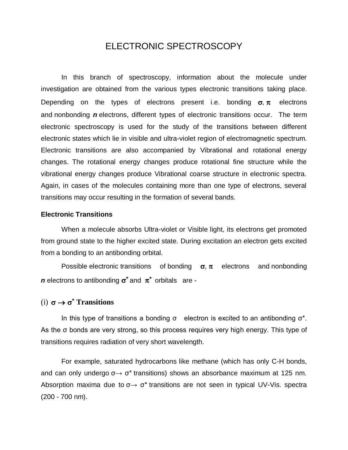# ELECTRONIC SPECTROSCOPY

In this branch of spectroscopy, information about the molecule under investigation are obtained from the various types electronic transitions taking place. Depending on the types of electrons present i.e. bonding  $\sigma, \pi$  electrons and nonbonding *n* electrons, different types of electronic transitions occur. The term electronic spectroscopy is used for the study of the transitions between different electronic states which lie in visible and ultra-violet region of electromagnetic spectrum. Electronic transitions are also accompanied by Vibrational and rotational energy changes. The rotational energy changes produce rotational fine structure while the vibrational energy changes produce Vibrational coarse structure in electronic spectra. Again, in cases of the molecules containing more than one type of electrons, several transitions may occur resulting in the formation of several bands.

#### **Electronic Transitions**

When a molecule absorbs Ultra-violet or Visible light, its electrons get promoted from ground state to the higher excited state. During excitation an electron gets excited from a bonding to an antibonding orbital.

Possible electronic transitions of bonding  $\sigma, \pi$  electrons and nonbonding *n* electrons to antibonding  $\sigma^*$  and  $\pi^*$  orbitals are -

# (i)  $\sigma \rightarrow \sigma^*$  **Transitions**

In this type of transitions a bonding  $\sigma$  electron is excited to an antibonding  $\sigma^*$ . As the σ bonds are very strong, so this process requires very high energy. This type of transitions requires radiation of very short wavelength.

For example, saturated hydrocarbons like methane (which has only C-H bonds, and can only undergo  $\sigma \rightarrow \sigma^*$  transitions) shows an absorbance maximum at 125 nm. Absorption maxima due to  $\sigma \rightarrow \sigma^*$  transitions are not seen in typical UV-Vis. spectra (200 - 700 nm).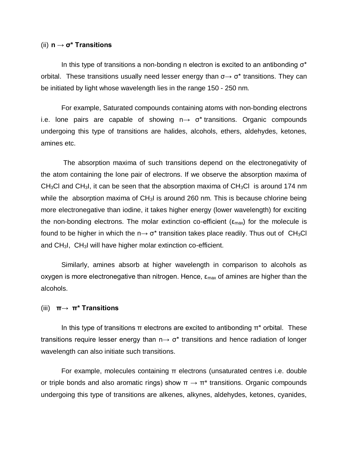## (ii) **n** → **σ\* Transitions**

In this type of transitions a non-bonding n electron is excited to an antibonding  $\sigma^*$ orbital. These transitions usually need lesser energy than  $\sigma \rightarrow \sigma^*$  transitions. They can be initiated by light whose wavelength lies in the range 150 - 250 nm.

For example, Saturated compounds containing atoms with non-bonding electrons i.e. lone pairs are capable of showing  $n \rightarrow \sigma^*$  transitions. Organic compounds undergoing this type of transitions are halides, alcohols, ethers, aldehydes, ketones, amines etc.

The absorption maxima of such transitions depend on the electronegativity of the atom containing the lone pair of electrons. If we observe the absorption maxima of  $CH<sub>3</sub>Cl$  and CH<sub>3</sub>I, it can be seen that the absorption maxima of CH<sub>3</sub>CI is around 174 nm while the absorption maxima of CH<sub>3</sub>I is around 260 nm. This is because chlorine being more electronegative than iodine, it takes higher energy (lower wavelength) for exciting the non-bonding electrons. The molar extinction co-efficient ( $\epsilon_{\text{max}}$ ) for the molecule is found to be higher in which the  $n \rightarrow \sigma^*$  transition takes place readily. Thus out of CH<sub>3</sub>Cl and CH3I, CH3I will have higher molar extinction co-efficient.

Similarly, amines absorb at higher wavelength in comparison to alcohols as oxygen is more electronegative than nitrogen. Hence,  $\varepsilon_{\text{max}}$  of amines are higher than the alcohols.

### (iii) **π**→ **π\* Transitions**

In this type of transitions  $\pi$  electrons are excited to antibonding  $\pi^*$  orbital. These transitions require lesser energy than  $n \rightarrow \sigma^*$  transitions and hence radiation of longer wavelength can also initiate such transitions.

For example, molecules containing π electrons (unsaturated centres i.e. double or triple bonds and also aromatic rings) show  $\pi \rightarrow \pi^*$  transitions. Organic compounds undergoing this type of transitions are alkenes, alkynes, aldehydes, ketones, cyanides,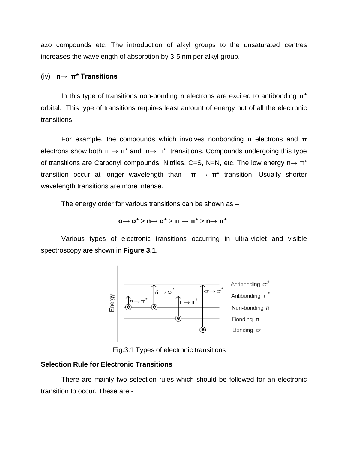azo compounds etc. The introduction of alkyl groups to the unsaturated centres increases the wavelength of absorption by 3-5 nm per alkyl group.

### (iv) **n**→ **π\* Transitions**

In this type of transitions non-bonding **n** electrons are excited to antibonding **π\*** orbital. This type of transitions requires least amount of energy out of all the electronic transitions.

For example, the compounds which involves nonbonding n electrons and **π** electrons show both  $\pi \rightarrow \pi^*$  and  $n \rightarrow \pi^*$  transitions. Compounds undergoing this type of transitions are Carbonyl compounds, Nitriles, C=S, N=N, etc. The low energy  $n \rightarrow \pi^*$ transition occur at longer wavelength than  $\pi \rightarrow \pi^*$  transition. Usually shorter wavelength transitions are more intense.

The energy order for various transitions can be shown as  $-$ 

$$
\sigma{\rightarrow\sigma^{\star}>\mathsf{n}{\rightarrow\sigma^{\star}>\pi\rightarrow\pi^{\star}>\mathsf{n}{\rightarrow\pi^{\star}}}
$$

Various types of electronic transitions occurring in ultra-violet and visible spectroscopy are shown in **Figure 3.1**.



Fig.3.1 Types of electronic transitions

#### **Selection Rule for Electronic Transitions**

There are mainly two selection rules which should be followed for an electronic transition to occur. These are -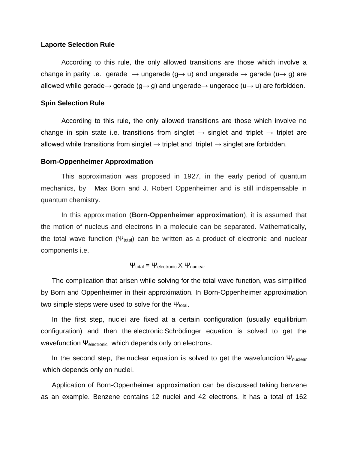#### **Laporte Selection Rule**

According to this rule, the only allowed transitions are those which involve a change in parity i.e. gerade  $\rightarrow$  ungerade (g $\rightarrow$  u) and ungerade  $\rightarrow$  gerade (u $\rightarrow$  g) are allowed while gerade→ gerade (g→ g) and ungerade→ ungerade (u→ u) are forbidden.

### **Spin Selection Rule**

According to this rule, the only allowed transitions are those which involve no change in spin state i.e. transitions from singlet  $\rightarrow$  singlet and triplet  $\rightarrow$  triplet are allowed while transitions from singlet  $\rightarrow$  triplet and triplet  $\rightarrow$  singlet are forbidden.

#### **Born-Oppenheimer Approximation**

This approximation was proposed in 1927, in the early period of quantum mechanics, by Max Born and J. Robert Oppenheimer and is still indispensable in quantum chemistry.

In this approximation (**Born-Oppenheimer approximation**), it is assumed that the motion of nucleus and electrons in a molecule can be separated. Mathematically, the total wave function ( $\Psi_{total}$ ) can be written as a product of electronic and nuclear components i.e.

$$
\Psi_{\text{total}} = \Psi_{\text{electronic}} \times \Psi_{\text{nuclear}}
$$

The complication that arisen while solving for the total wave function, was simplified by Born and Oppenheimer in their approximation. In Born-Oppenheimer approximation two simple steps were used to solve for the  $\Psi_{total}$ .

In the first step, nuclei are fixed at a certain configuration (usually equilibrium configuration) and then the electronic Schrödinger equation is solved to get the wavefunction Ψ<sub>electronic</sub> which depends only on electrons.

In the second step, the nuclear equation is solved to get the wavefunction  $\Psi_{\text{nuclear}}$ which depends only on nuclei.

Application of Born-Oppenheimer approximation can be discussed taking benzene as an example. Benzene contains 12 nuclei and 42 electrons. It has a total of 162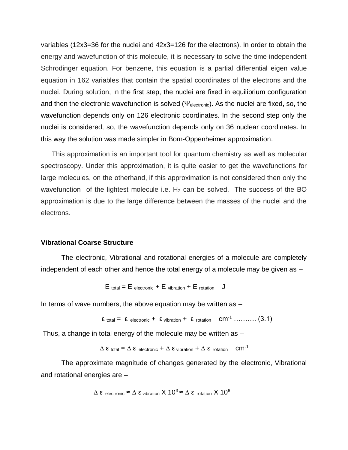variables (12x3=36 for the nuclei and 42x3=126 for the electrons). In order to obtain the energy and wavefunction of this molecule, it is necessary to solve the time independent Schrodinger equation. For benzene, this equation is a partial differential eigen value equation in 162 variables that contain the spatial coordinates of the electrons and the nuclei. During solution, in the first step, the nuclei are fixed in equilibrium configuration and then the electronic wavefunction is solved ( $\Psi_{\text{electronic}}$ ). As the nuclei are fixed, so, the wavefunction depends only on 126 electronic coordinates. In the second step only the nuclei is considered, so, the wavefunction depends only on 36 nuclear coordinates. In this way the solution was made simpler in Born-Oppenheimer approximation.

This approximation is an important tool for quantum chemistry as well as molecular spectroscopy. Under this approximation, it is quite easier to get the wavefunctions for large molecules, on the otherhand, if this approximation is not considered then only the wavefunction of the lightest molecule i.e.  $H_2$  can be solved. The success of the BO approximation is due to the large difference between the masses of the nuclei and the electrons.

### **Vibrational Coarse Structure**

The electronic, Vibrational and rotational energies of a molecule are completely independent of each other and hence the total energy of a molecule may be given as –

$$
E_{total} = E_{electronic} + E_{vibration} + E_{rotation}
$$
 J

In terms of wave numbers, the above equation may be written as  $-$ 

$$
\epsilon
$$
 total =  $\epsilon$  electronic +  $\epsilon$  vibration +  $\epsilon$  rotation cm<sup>-1</sup>........(3.1)

Thus, a change in total energy of the molecule may be written as –

$$
\Delta \varepsilon
$$
 total =  $\Delta \varepsilon$  electronic +  $\Delta \varepsilon$  vibration +  $\Delta \varepsilon$  rotation cm<sup>-1</sup>

The approximate magnitude of changes generated by the electronic, Vibrational and rotational energies are –

$$
\Delta \epsilon_{\text{ electronic}} \approx \Delta \epsilon_{\text{vibration}} \times 10^3 \approx \Delta \epsilon_{\text{ rotation}} \times 10^6
$$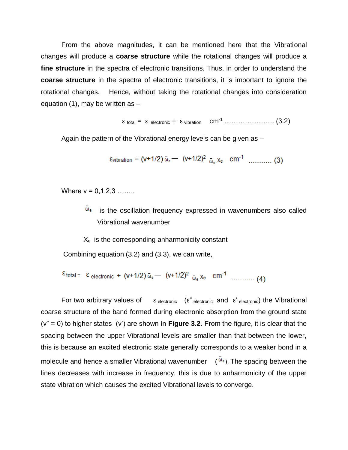From the above magnitudes, it can be mentioned here that the Vibrational changes will produce a **coarse structure** while the rotational changes will produce a **fine structure** in the spectra of electronic transitions. Thus, in order to understand the **coarse structure** in the spectra of electronic transitions, it is important to ignore the rotational changes. Hence, without taking the rotational changes into consideration equation  $(1)$ , may be written as  $-$ 

ε total = ε electronic + ε vibration cm-1 …………………. (3.2)

Again the pattern of the Vibrational energy levels can be given as –

$$
Evibration = (v+1/2) \bar{\omega}_{e} - (v+1/2)^{2} \bar{\omega}_{e} X_{e} \text{ cm}^{-1} \dots \dots \dots \text{ (3)}
$$

Where  $v = 0.1, 2, 3, \ldots$ ...

 $\overline{\omega}_{e}$  is the oscillation frequency expressed in wavenumbers also called Vibrational wavenumber

 $X<sub>e</sub>$  is the corresponding anharmonicity constant

Combining equation (3.2) and (3.3), we can write,

$$
\varepsilon_{\text{total}} = \varepsilon_{\text{electronic}} + (v+1/2) \bar{\omega}_{\text{e}} - (v+1/2)^2 \bar{\omega}_{\text{e}} x_{\text{e}} \text{ cm}^{-1} \dots \dots \dots (4)
$$

For two arbitrary values of  $ε$  electronic (ε" electronic and  $ε$ ' electronic) the Vibrational coarse structure of the band formed during electronic absorption from the ground state (v" = 0) to higher states (v') are shown in **Figure 3.2**. From the figure, it is clear that the spacing between the upper Vibrational levels are smaller than that between the lower, this is because an excited electronic state generally corresponds to a weaker bond in a molecule and hence a smaller Vibrational wavenumber  $(\bar{w}_e)$ . The spacing between the lines decreases with increase in frequency, this is due to anharmonicity of the upper state vibration which causes the excited Vibrational levels to converge.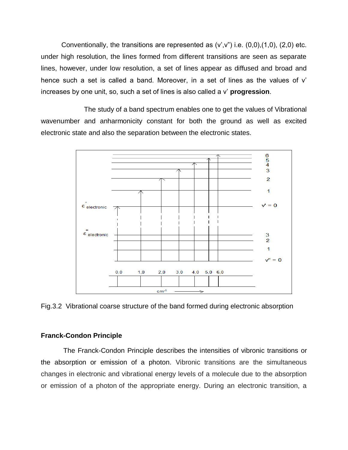Conventionally, the transitions are represented as  $(v',v'')$  i.e.  $(0,0),(1,0)$ ,  $(2,0)$  etc. under high resolution, the lines formed from different transitions are seen as separate lines, however, under low resolution, a set of lines appear as diffused and broad and hence such a set is called a band. Moreover, in a set of lines as the values of v' increases by one unit, so, such a set of lines is also called a v' **progression**.

The study of a band spectrum enables one to get the values of Vibrational wavenumber and anharmonicity constant for both the ground as well as excited electronic state and also the separation between the electronic states.



Fig.3.2 Vibrational coarse structure of the band formed during electronic absorption

### **Franck-Condon Principle**

The Franck-Condon Principle describes the intensities of vibronic transitions or the absorption or emission of a photon. Vibronic transitions are the simultaneous changes in electronic and vibrational energy levels of a molecule due to the absorption or emission of a photon of the appropriate energy. During an electronic transition, a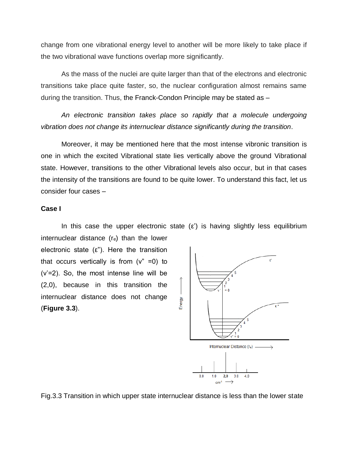change from one vibrational energy level to another will be more likely to take place if the two vibrational wave functions overlap more significantly.

As the mass of the nuclei are quite larger than that of the electrons and electronic transitions take place quite faster, so, the nuclear configuration almost remains same during the transition. Thus, the Franck-Condon Principle may be stated as –

*An electronic transition takes place so rapidly that a molecule undergoing vibration does not change its internuclear distance significantly during the transition.*

Moreover, it may be mentioned here that the most intense vibronic transition is one in which the excited Vibrational state lies vertically above the ground Vibrational state. However, transitions to the other Vibrational levels also occur, but in that cases the intensity of the transitions are found to be quite lower. To understand this fact, let us consider four cases –

### **Case I**

In this case the upper electronic state  $(\varepsilon')$  is having slightly less equilibrium internuclear distance  $(r_e)$  than the lower

electronic state  $(\varepsilon)$ . Here the transition that occurs vertically is from  $(v<sup>n</sup> = 0)$  to (v'=2). So, the most intense line will be (2,0), because in this transition the internuclear distance does not change (**Figure 3.3**).



Fig.3.3 Transition in which upper state internuclear distance is less than the lower state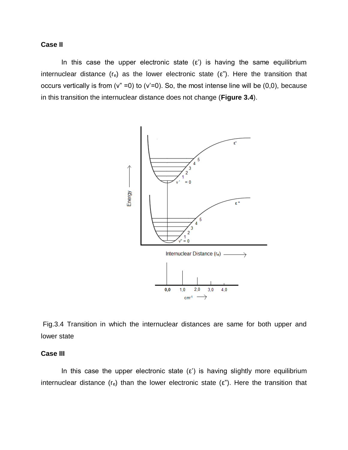# **Case II**

In this case the upper electronic state  $(\epsilon')$  is having the same equilibrium internuclear distance (re) as the lower electronic state ( $\varepsilon$ "). Here the transition that occurs vertically is from ( $v'' = 0$ ) to ( $v' = 0$ ). So, the most intense line will be (0,0), because in this transition the internuclear distance does not change (**Figure 3.4**).



Fig.3.4 Transition in which the internuclear distances are same for both upper and lower state

## **Case III**

In this case the upper electronic state  $(\varepsilon')$  is having slightly more equilibrium internuclear distance (re) than the lower electronic state ( $\varepsilon$ "). Here the transition that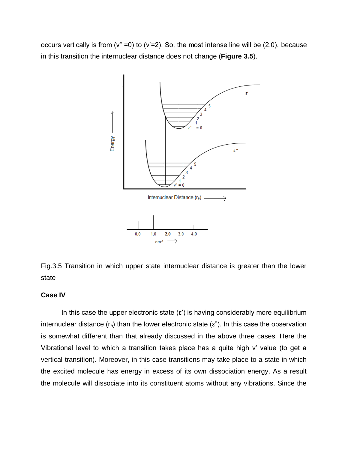occurs vertically is from ( $v'' = 0$ ) to ( $v' = 2$ ). So, the most intense line will be (2,0), because in this transition the internuclear distance does not change (**Figure 3.5**).



Fig.3.5 Transition in which upper state internuclear distance is greater than the lower state

## **Case IV**

In this case the upper electronic state  $(\epsilon)$  is having considerably more equilibrium internuclear distance  $(r_e)$  than the lower electronic state  $(\epsilon)$ . In this case the observation is somewhat different than that already discussed in the above three cases. Here the Vibrational level to which a transition takes place has a quite high v' value (to get a vertical transition). Moreover, in this case transitions may take place to a state in which the excited molecule has energy in excess of its own dissociation energy. As a result the molecule will dissociate into its constituent atoms without any vibrations. Since the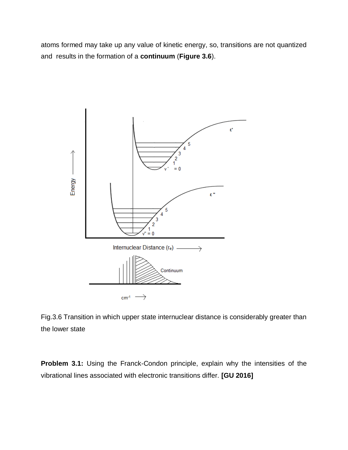atoms formed may take up any value of kinetic energy, so, transitions are not quantized and results in the formation of a **continuum** (**Figure 3.6**).



Fig.3.6 Transition in which upper state internuclear distance is considerably greater than the lower state

**Problem 3.1:** Using the Franck-Condon principle, explain why the intensities of the vibrational lines associated with electronic transitions differ. **[GU 2016]**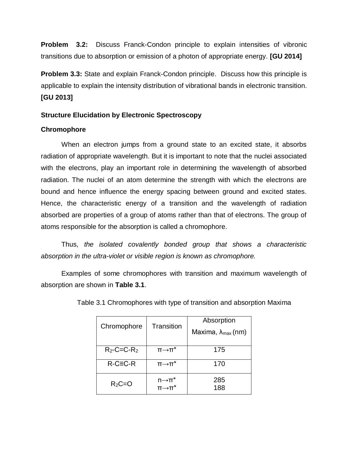**Problem 3.2:** Discuss Franck-Condon principle to explain intensities of vibronic transitions due to absorption or emission of a photon of appropriate energy. **[GU 2014]**

**Problem 3.3:** State and explain Franck-Condon principle. Discuss how this principle is applicable to explain the intensity distribution of vibrational bands in electronic transition. **[GU 2013]**

# **Structure Elucidation by Electronic Spectroscopy**

# **Chromophore**

When an electron jumps from a ground state to an excited state, it absorbs radiation of appropriate wavelength. But it is important to note that the nuclei associated with the electrons, play an important role in determining the wavelength of absorbed radiation. The nuclei of an atom determine the strength with which the electrons are bound and hence influence the energy spacing between ground and excited states. Hence, the characteristic energy of a transition and the wavelength of radiation absorbed are properties of a group of atoms rather than that of electrons. The group of atoms responsible for the absorption is called a chromophore.

Thus, *the isolated covalently bonded group that shows a characteristic absorption in the ultra-violet or visible region is known as chromophore.*

Examples of some chromophores with transition and maximum wavelength of absorption are shown in **Table 3.1**.

| Chromophore       | Transition              | Absorption                          |  |  |
|-------------------|-------------------------|-------------------------------------|--|--|
|                   |                         | Maxima, $\lambda_{\text{max}}$ (nm) |  |  |
|                   |                         |                                     |  |  |
| $R_2$ -C=C- $R_2$ | $\Pi \rightarrow \Pi^*$ | 175                                 |  |  |
| $R-C\equiv C-R$   |                         |                                     |  |  |
|                   | $\Pi \rightarrow \Pi^*$ | 170                                 |  |  |
|                   | $n\rightarrow$ $\pi^*$  | 285                                 |  |  |
| $R_2C=O$          | <br>π→π*                | 188                                 |  |  |

Table 3.1 Chromophores with type of transition and absorption Maxima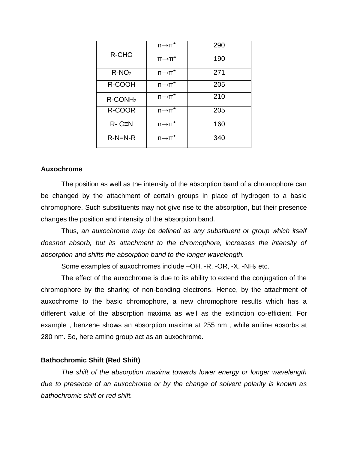|                        | $n\rightarrow$ $\pi^*$  | 290 |
|------------------------|-------------------------|-----|
| R-CHO                  | $\Pi \rightarrow \Pi^*$ | 190 |
| $R-NO2$                | $n\rightarrow \pi^*$    | 271 |
| R-COOH                 | $n\rightarrow \pi^*$    | 205 |
| $R$ -CONH <sub>2</sub> | $n\rightarrow \pi^*$    | 210 |
| R-COOR                 | $n\rightarrow \pi^*$    | 205 |
| $R - C \equiv N$       | $n\rightarrow \pi^*$    | 160 |
| $R-N=N-R$              | $n\rightarrow \pi^*$    | 340 |

### **Auxochrome**

The position as well as the intensity of the absorption band of a chromophore can be changed by the attachment of certain groups in place of hydrogen to a basic chromophore. Such substituents may not give rise to the absorption, but their presence changes the position and intensity of the absorption band.

Thus, *an auxochrome may be defined as any substituent or group which itself doesnot absorb, but its attachment to the chromophore, increases the intensity of absorption and shifts the absorption band to the longer wavelength.* 

Some examples of auxochromes include  $-OH$ ,  $-R$ ,  $-OR$ ,  $-X$ ,  $-NH<sub>2</sub>$  etc.

The effect of the auxochrome is due to its ability to extend the conjugation of the chromophore by the sharing of non-bonding electrons. Hence, by the attachment of auxochrome to the basic chromophore, a new chromophore results which has a different value of the absorption maxima as well as the extinction co-efficient. For example , benzene shows an absorption maxima at 255 nm , while aniline absorbs at 280 nm. So, here amino group act as an auxochrome.

#### **Bathochromic Shift (Red Shift)**

*The shift of the absorption maxima towards lower energy or longer wavelength due to presence of an auxochrome or by the change of solvent polarity is known as bathochromic shift or red shift.*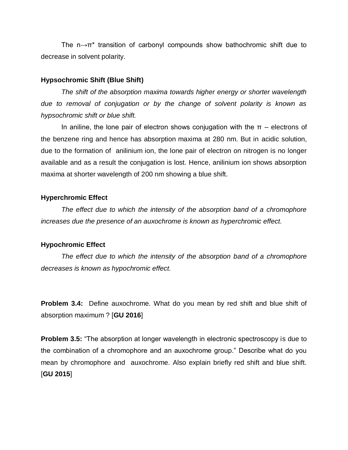The  $n \rightarrow \pi^*$  transition of carbonyl compounds show bathochromic shift due to decrease in solvent polarity.

#### **Hypsochromic Shift (Blue Shift)**

*The shift of the absorption maxima towards higher energy or shorter wavelength due to removal of conjugation or by the change of solvent polarity is known as hypsochromic shift or blue shift.*

In aniline, the lone pair of electron shows conjugation with the  $\pi$  – electrons of the benzene ring and hence has absorption maxima at 280 nm. But in acidic solution, due to the formation of anilinium ion, the lone pair of electron on nitrogen is no longer available and as a result the conjugation is lost. Hence, anilinium ion shows absorption maxima at shorter wavelength of 200 nm showing a blue shift.

#### **Hyperchromic Effect**

*The effect due to which the intensity of the absorption band of a chromophore increases due the presence of an auxochrome is known as hyperchromic effect.*

#### **Hypochromic Effect**

*The effect due to which the intensity of the absorption band of a chromophore decreases is known as hypochromic effect.*

**Problem 3.4:** Define auxochrome. What do you mean by red shift and blue shift of absorption maximum ? [**GU 2016**]

**Problem 3.5:** "The absorption at longer wavelength in electronic spectroscopy is due to the combination of a chromophore and an auxochrome group." Describe what do you mean by chromophore and auxochrome. Also explain briefly red shift and blue shift. [**GU 2015**]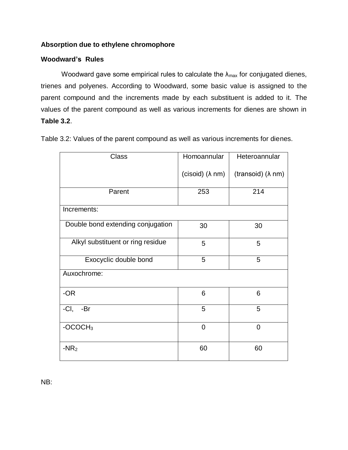# **Absorption due to ethylene chromophore**

# **Woodward's Rules**

Woodward gave some empirical rules to calculate the  $\lambda_{\text{max}}$  for conjugated dienes, trienes and polyenes. According to Woodward, some basic value is assigned to the parent compound and the increments made by each substituent is added to it. The values of the parent compound as well as various increments for dienes are shown in **Table 3.2**.

Table 3.2: Values of the parent compound as well as various increments for dienes.

| <b>Class</b>                      | Homoannular             | Heteroannular             |
|-----------------------------------|-------------------------|---------------------------|
|                                   | (cisoid) $(\lambda$ nm) | (transoid) $(\lambda$ nm) |
| Parent                            | 253                     | 214                       |
| Increments:                       |                         |                           |
| Double bond extending conjugation | 30                      | 30                        |
| Alkyl substituent or ring residue | 5                       | 5                         |
| Exocyclic double bond             | 5                       | 5                         |
| Auxochrome:                       |                         |                           |
| -OR                               | 6                       | 6                         |
| $-CI$ ,<br>-Br                    | 5                       | 5                         |
| $-OCOCH3$                         | $\overline{0}$          | 0                         |
| $-NR2$                            | 60                      | 60                        |

NB: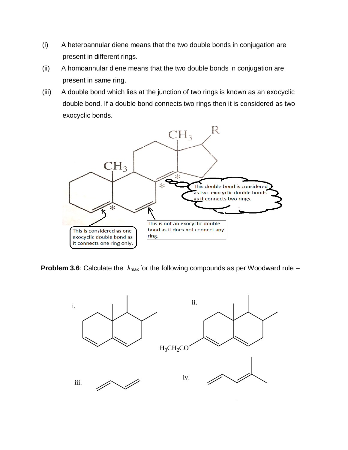- (i) A heteroannular diene means that the two double bonds in conjugation are present in different rings.
- (ii) A homoannular diene means that the two double bonds in conjugation are present in same ring.
- (iii) A double bond which lies at the junction of two rings is known as an exocyclic double bond. If a double bond connects two rings then it is considered as two exocyclic bonds.



**Problem 3.6**: Calculate the  $\lambda_{\text{max}}$  for the following compounds as per Woodward rule –

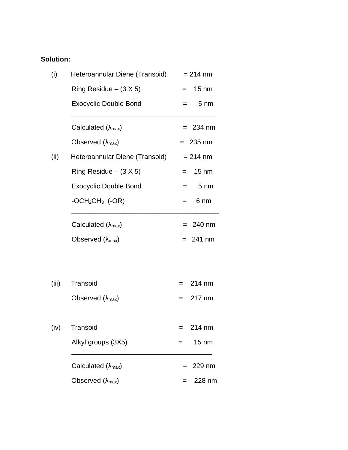# **Solution:**

| (i)   | Heteroannular Diene (Transoid)      | $= 214$ nm              |
|-------|-------------------------------------|-------------------------|
|       | Ring Residue $-$ (3 X 5)            | $15 \text{ nm}$<br>$=$  |
|       | <b>Exocyclic Double Bond</b>        | $5 \, \text{nm}$<br>$=$ |
|       | Calculated $(\lambda_{\text{max}})$ | $= 234$ nm              |
|       | Observed $(\lambda_{\text{max}})$   | $= 235$ nm              |
| (ii)  | Heteroannular Diene (Transoid)      | $= 214$ nm              |
|       | Ring Residue $-$ (3 X 5)            | $15 \text{ nm}$<br>$=$  |
|       | <b>Exocyclic Double Bond</b>        | $5 \, \text{nm}$<br>$=$ |
|       | $-OCH2CH3$ (-OR)                    | 6 nm<br>$=$             |
|       | Calculated $(\lambda_{\text{max}})$ | $= 240$ nm              |
|       | Observed $(\lambda_{\text{max}})$   | $= 241$ nm              |
|       |                                     |                         |
| (iii) | Transoid                            | 214 nm<br>$=$           |
|       | Observed $(\lambda_{\text{max}})$   | 217 nm<br>$=$           |
| (iv)  | Transoid                            | 214 nm<br>=             |
|       | Alkyl groups (3X5)                  | $15 \text{ nm}$         |
|       | Calculated $(\lambda_{\text{max}})$ | 229 nm                  |
|       | Observed $(\lambda_{\text{max}})$   | 228 nm                  |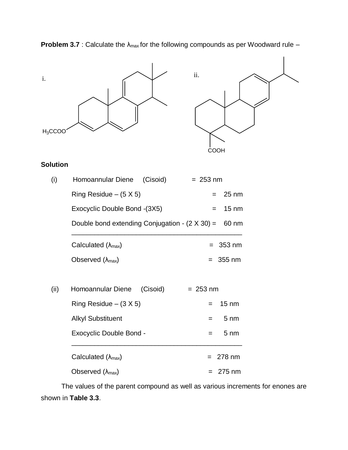

The values of the parent compound as well as various increments for enones are shown in **Table 3.3**.

**Problem 3.7** : Calculate the λ<sub>max</sub> for the following compounds as per Woodward rule –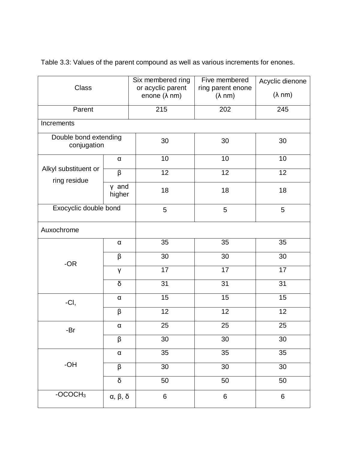|  | Table 3.3: Values of the parent compound as well as various increments for enones. |
|--|------------------------------------------------------------------------------------|
|--|------------------------------------------------------------------------------------|

|                                      |                     | Six membered ring                         | Five membered                       | Acyclic dienone |
|--------------------------------------|---------------------|-------------------------------------------|-------------------------------------|-----------------|
| Class                                |                     | or acyclic parent<br>enone $(\lambda$ nm) | ring parent enone<br>$(\lambda$ nm) | $(\lambda$ nm)  |
|                                      |                     |                                           |                                     |                 |
| Parent                               |                     | 215                                       | 202                                 | 245             |
| Increments                           |                     |                                           |                                     |                 |
| Double bond extending<br>conjugation |                     | 30                                        | 30                                  | 30              |
|                                      | $\alpha$            | 10                                        | 10                                  | 10              |
| Alkyl substituent or<br>ring residue | β                   | 12                                        | $\overline{12}$                     | 12              |
|                                      | y and<br>higher     | 18                                        | 18                                  | 18              |
| Exocyclic double bond                |                     | 5                                         | 5                                   | 5               |
| Auxochrome                           |                     |                                           |                                     |                 |
|                                      | $\alpha$            | 35                                        | 35                                  | 35              |
| $-OR$                                | β                   | 30                                        | 30                                  | 30              |
|                                      | γ                   | 17                                        | 17                                  | 17              |
|                                      | δ                   | 31                                        | 31                                  | 31              |
| -CI,                                 | $\alpha$            | 15                                        | 15                                  | 15              |
|                                      | β                   | 12                                        | 12                                  | 12              |
| -Br                                  | $\alpha$            | 25                                        | 25                                  | 25              |
|                                      | β                   | 30                                        | 30                                  | 30              |
|                                      | $\alpha$            | 35                                        | 35                                  | 35              |
| $-OH$                                | β                   | 30                                        | 30                                  | 30              |
|                                      | $\overline{\delta}$ | 50                                        | 50                                  | 50              |
| $-OCOCH3$                            | α, β, δ             | $\,6\,$                                   | $6\phantom{a}$                      | 6               |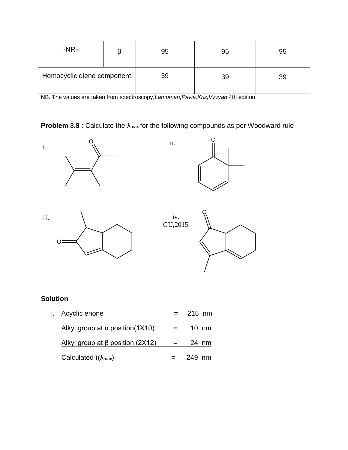| $-NR2$                     | 95 | 95 | 95 |
|----------------------------|----|----|----|
| Homocyclic diene component | 39 | 39 | 39 |

NB. The values are taken from spectroscopy,*Lampman,Pavia,Kriz,Vyvyan*,4th edition

**Problem 3.8** : Calculate the λ<sub>max</sub> for the following compounds as per Woodward rule –



# **Solution**

| i. Acyclic enone                       |                   | $= 215 \text{ nm}$ |  |
|----------------------------------------|-------------------|--------------------|--|
| Alkyl group at $\alpha$ position(1X10) | $=$ $-$           | $10 \; \text{nm}$  |  |
| Alkyl group at $\beta$ position (2X12) | $\alpha = \alpha$ | 24 nm              |  |
| Calculated $((\lambda_{max})$          |                   | -249 nm            |  |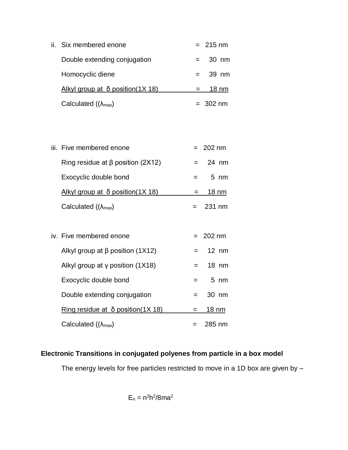ii. Six membered enone  $= 215 \text{ nm}$ Double extending conjugation = 30 nm Homocyclic diene  $=$  39 nm Alkyl group at  $\delta$  position(1X 18) = 18 nm Calculated  $((\lambda_{max})$  = 302 nm

| iii. Five membered enone                | $= 202 \text{ nm}$ |
|-----------------------------------------|--------------------|
| Ring residue at $\beta$ position (2X12) | $= 24$ nm          |
| Exocyclic double bond                   | $5 \text{ nm}$     |
| Alkyl group at $\delta$ position(1X 18) | $18 \text{ nm}$    |
| Calculated $((\lambda_{max})$           | 231 nm             |

iv. Five membered enone  $= 202$  nm Alkyl group at  $\beta$  position (1X12) = 12 nm Alkyl group at γ position  $(1X18)$  = 18 nm Exocyclic double bond = 5 nm Double extending conjugation = 30 nm Ring residue at  $\delta$  position(1X 18) = 18 nm Calculated  $((\lambda_{max})$  = 285 nm

# **Electronic Transitions in conjugated polyenes from particle in a box model**

The energy levels for free particles restricted to move in a 1D box are given by –

$$
E_n = n^2h^2/8ma^2
$$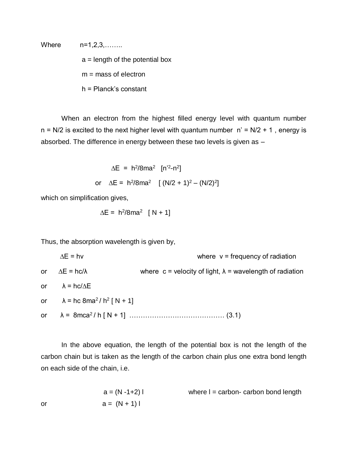Where n=1,2,3,……..

 $a =$  length of the potential box

 $m =$  mass of electron

h = Planck's constant

When an electron from the highest filled energy level with quantum number  $n = N/2$  is excited to the next higher level with quantum number  $n' = N/2 + 1$ , energy is absorbed. The difference in energy between these two levels is given as –

$$
\Delta E = h^2/8ma^2 [n'^2 - n^2]
$$
  
or 
$$
\Delta E = h^2/8ma^2 [ (N/2 + 1)^2 - (N/2)^2 ]
$$

which on simplification gives,

$$
\Delta E = h^2/8ma^2 [N + 1]
$$

Thus, the absorption wavelength is given by,

 ∆E = hν where ν = frequency of radiation or  $ΔE = hc/λ$  where c = velocity of light,  $λ$  = wavelength of radiation or  $\lambda = hc/\Delta E$ or  $\lambda =$  hc 8ma<sup>2</sup>/ h<sup>2</sup> [ N + 1] or λ = 8mca<sup>2</sup> / h [ N + 1] …………………………………… (3.1)

In the above equation, the length of the potential box is not the length of the carbon chain but is taken as the length of the carbon chain plus one extra bond length on each side of the chain, i.e.

 $a = (N - 1 + 2)$  l where  $l =$  carbon- carbon bond length or  $a = (N + 1)1$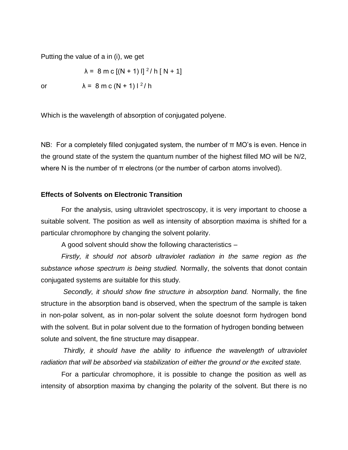Putting the value of a in (i), we get

$$
\lambda = 8 \text{ m c} [(N + 1) I]^{2} / h [N + 1]
$$

or  $\lambda = 8 \text{ m c} (N + 1) 1^2/h$ 

Which is the wavelength of absorption of conjugated polyene.

NB: For a completely filled conjugated system, the number of π MO's is even. Hence in the ground state of the system the quantum number of the highest filled MO will be N/2, where N is the number of  $\pi$  electrons (or the number of carbon atoms involved).

### **Effects of Solvents on Electronic Transition**

For the analysis, using ultraviolet spectroscopy, it is very important to choose a suitable solvent. The position as well as intensity of absorption maxima is shifted for a particular chromophore by changing the solvent polarity.

A good solvent should show the following characteristics –

*Firstly, it should not absorb ultraviolet radiation in the same region as the substance whose spectrum is being studied.* Normally, the solvents that donot contain conjugated systems are suitable for this study.

*Secondly, it should show fine structure in absorption band.* Normally, the fine structure in the absorption band is observed, when the spectrum of the sample is taken in non-polar solvent, as in non-polar solvent the solute doesnot form hydrogen bond with the solvent. But in polar solvent due to the formation of hydrogen bonding between solute and solvent, the fine structure may disappear.

*Thirdly, it should have the ability to influence the wavelength of ultraviolet radiation that will be absorbed via stabilization of either the ground or the excited state.*

For a particular chromophore, it is possible to change the position as well as intensity of absorption maxima by changing the polarity of the solvent. But there is no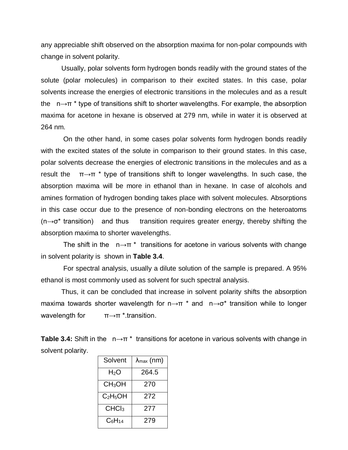any appreciable shift observed on the absorption maxima for non-polar compounds with change in solvent polarity.

Usually, polar solvents form hydrogen bonds readily with the ground states of the solute (polar molecules) in comparison to their excited states. In this case, polar solvents increase the energies of electronic transitions in the molecules and as a result the  $n \rightarrow \pi^*$  type of transitions shift to shorter wavelengths. For example, the absorption maxima for acetone in hexane is observed at 279 nm, while in water it is observed at 264 nm.

On the other hand, in some cases polar solvents form hydrogen bonds readily with the excited states of the solute in comparison to their ground states. In this case, polar solvents decrease the energies of electronic transitions in the molecules and as a result the  $\pi \rightarrow \pi^*$  type of transitions shift to longer wavelengths. In such case, the absorption maxima will be more in ethanol than in hexane. In case of alcohols and amines formation of hydrogen bonding takes place with solvent molecules. Absorptions in this case occur due to the presence of non-bonding electrons on the heteroatoms  $(n \rightarrow \sigma^*$  transition) and thus transition requires greater energy, thereby shifting the absorption maxima to shorter wavelengths.

The shift in the  $n \rightarrow \pi^*$  transitions for acetone in various solvents with change in solvent polarity is shown in **Table 3.4**.

For spectral analysis, usually a dilute solution of the sample is prepared. A 95% ethanol is most commonly used as solvent for such spectral analysis.

Thus, it can be concluded that increase in solvent polarity shifts the absorption maxima towards shorter wavelength for  $n \rightarrow \pi^*$  and  $n \rightarrow \sigma^*$  transition while to longer wavelength for  $\pi \rightarrow \pi^*$  transition.

**Table 3.4:** Shift in the n→π \* transitions for acetone in various solvents with change in solvent polarity.

| Solvent            | $\lambda_{\text{max}}$ (nm) |
|--------------------|-----------------------------|
| H <sub>2</sub> O   | 264.5                       |
| CH <sub>3</sub> OH | 270                         |
| $C_2H_5OH$         | 272                         |
| CHCl <sub>3</sub>  | 277                         |
| $C_6H_{14}$        | 279                         |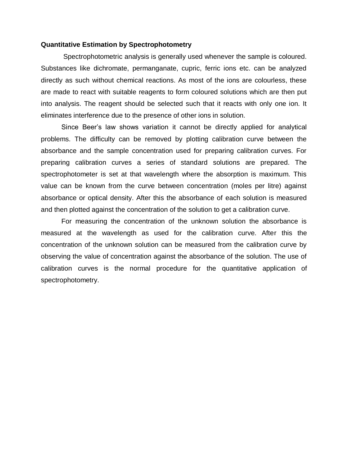#### **Quantitative Estimation by Spectrophotometry**

Spectrophotometric analysis is generally used whenever the sample is coloured. Substances like dichromate, permanganate, cupric, ferric ions etc. can be analyzed directly as such without chemical reactions. As most of the ions are colourless, these are made to react with suitable reagents to form coloured solutions which are then put into analysis. The reagent should be selected such that it reacts with only one ion. It eliminates interference due to the presence of other ions in solution.

Since Beer's law shows variation it cannot be directly applied for analytical problems. The difficulty can be removed by plotting calibration curve between the absorbance and the sample concentration used for preparing calibration curves. For preparing calibration curves a series of standard solutions are prepared. The spectrophotometer is set at that wavelength where the absorption is maximum. This value can be known from the curve between concentration (moles per litre) against absorbance or optical density. After this the absorbance of each solution is measured and then plotted against the concentration of the solution to get a calibration curve.

For measuring the concentration of the unknown solution the absorbance is measured at the wavelength as used for the calibration curve. After this the concentration of the unknown solution can be measured from the calibration curve by observing the value of concentration against the absorbance of the solution. The use of calibration curves is the normal procedure for the quantitative application of spectrophotometry.